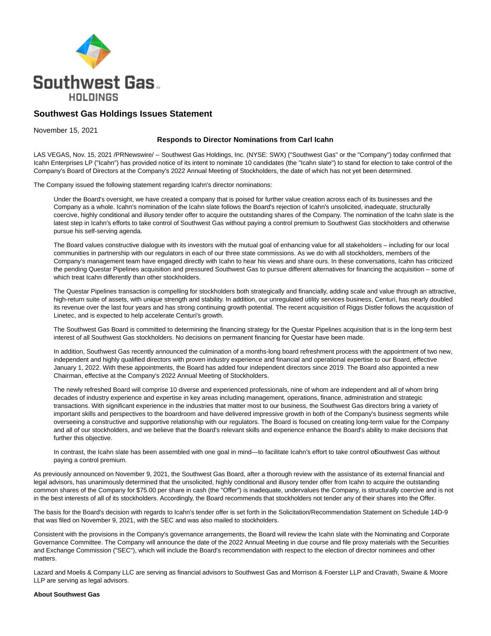

# **Southwest Gas Holdings Issues Statement**

November 15, 2021

## **Responds to Director Nominations from Carl Icahn**

LAS VEGAS, Nov. 15, 2021 /PRNewswire/ -- Southwest Gas Holdings, Inc. (NYSE: SWX) ("Southwest Gas" or the "Company") today confirmed that Icahn Enterprises LP ("Icahn") has provided notice of its intent to nominate 10 candidates (the "Icahn slate") to stand for election to take control of the Company's Board of Directors at the Company's 2022 Annual Meeting of Stockholders, the date of which has not yet been determined.

The Company issued the following statement regarding Icahn's director nominations:

Under the Board's oversight, we have created a company that is poised for further value creation across each of its businesses and the Company as a whole. Icahn's nomination of the Icahn slate follows the Board's rejection of Icahn's unsolicited, inadequate, structurally coercive, highly conditional and illusory tender offer to acquire the outstanding shares of the Company. The nomination of the Icahn slate is the latest step in Icahn's efforts to take control of Southwest Gas without paying a control premium to Southwest Gas stockholders and otherwise pursue his self-serving agenda.

The Board values constructive dialogue with its investors with the mutual goal of enhancing value for all stakeholders – including for our local communities in partnership with our regulators in each of our three state commissions. As we do with all stockholders, members of the Company's management team have engaged directly with Icahn to hear his views and share ours. In these conversations, Icahn has criticized the pending Questar Pipelines acquisition and pressured Southwest Gas to pursue different alternatives for financing the acquisition – some of which treat Icahn differently than other stockholders.

The Questar Pipelines transaction is compelling for stockholders both strategically and financially, adding scale and value through an attractive, high-return suite of assets, with unique strength and stability. In addition, our unregulated utility services business, Centuri, has nearly doubled its revenue over the last four years and has strong continuing growth potential. The recent acquisition of Riggs Distler follows the acquisition of Linetec, and is expected to help accelerate Centuri's growth.

The Southwest Gas Board is committed to determining the financing strategy for the Questar Pipelines acquisition that is in the long-term best interest of all Southwest Gas stockholders. No decisions on permanent financing for Questar have been made.

In addition, Southwest Gas recently announced the culmination of a months-long board refreshment process with the appointment of two new, independent and highly qualified directors with proven industry experience and financial and operational expertise to our Board, effective January 1, 2022. With these appointments, the Board has added four independent directors since 2019. The Board also appointed a new Chairman, effective at the Company's 2022 Annual Meeting of Stockholders.

The newly refreshed Board will comprise 10 diverse and experienced professionals, nine of whom are independent and all of whom bring decades of industry experience and expertise in key areas including management, operations, finance, administration and strategic transactions. With significant experience in the industries that matter most to our business, the Southwest Gas directors bring a variety of important skills and perspectives to the boardroom and have delivered impressive growth in both of the Company's business segments while overseeing a constructive and supportive relationship with our regulators. The Board is focused on creating long-term value for the Company and all of our stockholders, and we believe that the Board's relevant skills and experience enhance the Board's ability to make decisions that further this objective.

In contrast, the Icahn slate has been assembled with one goal in mind—to facilitate Icahn's effort to take control oSouthwest Gas without paying a control premium.

As previously announced on November 9, 2021, the Southwest Gas Board, after a thorough review with the assistance of its external financial and legal advisors, has unanimously determined that the unsolicited, highly conditional and illusory tender offer from Icahn to acquire the outstanding common shares of the Company for \$75.00 per share in cash (the "Offer") is inadequate, undervalues the Company, is structurally coercive and is not in the best interests of all of its stockholders. Accordingly, the Board recommends that stockholders not tender any of their shares into the Offer.

The basis for the Board's decision with regards to Icahn's tender offer is set forth in the Solicitation/Recommendation Statement on Schedule 14D-9 that was filed on November 9, 2021, with the SEC and was also mailed to stockholders.

Consistent with the provisions in the Company's governance arrangements, the Board will review the Icahn slate with the Nominating and Corporate Governance Committee. The Company will announce the date of the 2022 Annual Meeting in due course and file proxy materials with the Securities and Exchange Commission ("SEC"), which will include the Board's recommendation with respect to the election of director nominees and other matters.

Lazard and Moelis & Company LLC are serving as financial advisors to Southwest Gas and Morrison & Foerster LLP and Cravath, Swaine & Moore LLP are serving as legal advisors.

**About Southwest Gas**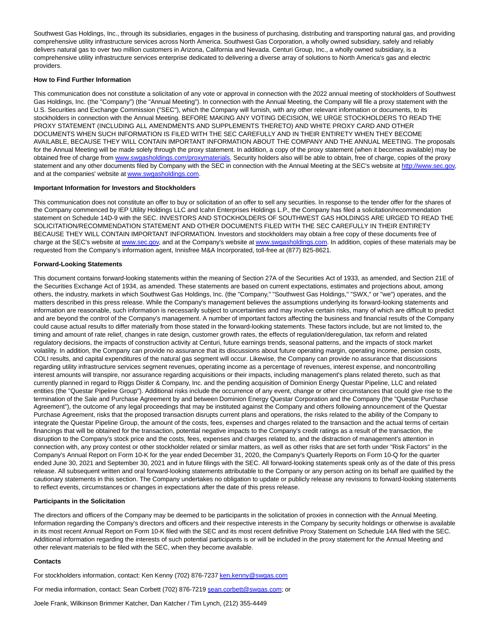Southwest Gas Holdings, Inc., through its subsidiaries, engages in the business of purchasing, distributing and transporting natural gas, and providing comprehensive utility infrastructure services across North America. Southwest Gas Corporation, a wholly owned subsidiary, safely and reliably delivers natural gas to over two million customers in Arizona, California and Nevada. Centuri Group, Inc., a wholly owned subsidiary, is a comprehensive utility infrastructure services enterprise dedicated to delivering a diverse array of solutions to North America's gas and electric providers.

## **How to Find Further Information**

This communication does not constitute a solicitation of any vote or approval in connection with the 2022 annual meeting of stockholders of Southwest Gas Holdings, Inc. (the "Company") (the "Annual Meeting"). In connection with the Annual Meeting, the Company will file a proxy statement with the U.S. Securities and Exchange Commission ("SEC"), which the Company will furnish, with any other relevant information or documents, to its stockholders in connection with the Annual Meeting. BEFORE MAKING ANY VOTING DECISION, WE URGE STOCKHOLDERS TO READ THE PROXY STATEMENT (INCLUDING ALL AMENDMENTS AND SUPPLEMENTS THERETO) AND WHITE PROXY CARD AND OTHER DOCUMENTS WHEN SUCH INFORMATION IS FILED WITH THE SEC CAREFULLY AND IN THEIR ENTIRETY WHEN THEY BECOME AVAILABLE, BECAUSE THEY WILL CONTAIN IMPORTANT INFORMATION ABOUT THE COMPANY AND THE ANNUAL MEETING. The proposals for the Annual Meeting will be made solely through the proxy statement. In addition, a copy of the proxy statement (when it becomes available) may be obtained free of charge from [www.swgasholdings.com/proxymaterials.](https://c212.net/c/link/?t=0&l=en&o=3359890-1&h=106887296&u=https%3A%2F%2Fprotect-us.mimecast.com%2Fs%2FWGvoCR65kXUvGEQxQHN_gmC%3Fdomain%3Dswgasholdings.com&a=www.swgasholdings.com%2Fproxymaterials) Security holders also will be able to obtain, free of charge, copies of the proxy statement and any other documents filed by Company with the SEC in connection with the Annual Meeting at the SEC's website a[t http://www.sec.gov,](http://www.sec.gov/) and at the companies' website a[t www.swgasholdings.com.](https://c212.net/c/link/?t=0&l=en&o=3359890-1&h=187567573&u=http%3A%2F%2Fwww.swgasholdings.com%2F&a=www.swgasholdings.com)

#### **Important Information for Investors and Stockholders**

This communication does not constitute an offer to buy or solicitation of an offer to sell any securities. In response to the tender offer for the shares of the Company commenced by IEP Utility Holdings LLC and Icahn Enterprises Holdings L.P., the Company has filed a solicitation/recommendation statement on Schedule 14D-9 with the SEC. INVESTORS AND STOCKHOLDERS OF SOUTHWEST GAS HOLDINGS ARE URGED TO READ THE SOLICITATION/RECOMMENDATION STATEMENT AND OTHER DOCUMENTS FILED WITH THE SEC CAREFULLY IN THEIR ENTIRETY BECAUSE THEY WILL CONTAIN IMPORTANT INFORMATION. Investors and stockholders may obtain a free copy of these documents free of charge at the SEC's website a[t www.sec.gov,](https://c212.net/c/link/?t=0&l=en&o=3359890-1&h=3450549802&u=https%3A%2F%2Fprotect-us.mimecast.com%2Fs%2F8YouCqx2koCnqE8jfZq5gX%3Fdomain%3Dsec.gov&a=www.sec.gov) and at the Company's website a[t www.swgasholdings.com.](https://c212.net/c/link/?t=0&l=en&o=3359890-1&h=1453791570&u=https%3A%2F%2Fprotect-us.mimecast.com%2Fs%2F_trJCv2jpwiqQY7ztzzalR%3Fdomain%3Dswgasholdings.com&a=www.swgasholdings.com) In addition, copies of these materials may be requested from the Company's information agent, Innisfree M&A Incorporated, toll-free at (877) 825-8621.

### **Forward-Looking Statements**

This document contains forward-looking statements within the meaning of Section 27A of the Securities Act of 1933, as amended, and Section 21E of the Securities Exchange Act of 1934, as amended. These statements are based on current expectations, estimates and projections about, among others, the industry, markets in which Southwest Gas Holdings, Inc. (the "Company," "Southwest Gas Holdings," "SWX," or "we") operates, and the matters described in this press release. While the Company's management believes the assumptions underlying its forward-looking statements and information are reasonable, such information is necessarily subject to uncertainties and may involve certain risks, many of which are difficult to predict and are beyond the control of the Company's management. A number of important factors affecting the business and financial results of the Company could cause actual results to differ materially from those stated in the forward-looking statements. These factors include, but are not limited to, the timing and amount of rate relief, changes in rate design, customer growth rates, the effects of regulation/deregulation, tax reform and related regulatory decisions, the impacts of construction activity at Centuri, future earnings trends, seasonal patterns, and the impacts of stock market volatility. In addition, the Company can provide no assurance that its discussions about future operating margin, operating income, pension costs, COLI results, and capital expenditures of the natural gas segment will occur. Likewise, the Company can provide no assurance that discussions regarding utility infrastructure services segment revenues, operating income as a percentage of revenues, interest expense, and noncontrolling interest amounts will transpire, nor assurance regarding acquisitions or their impacts, including management's plans related thereto, such as that currently planned in regard to Riggs Distler & Company, Inc. and the pending acquisition of Dominion Energy Questar Pipeline, LLC and related entities (the "Questar Pipeline Group"). Additional risks include the occurrence of any event, change or other circumstances that could give rise to the termination of the Sale and Purchase Agreement by and between Dominion Energy Questar Corporation and the Company (the "Questar Purchase Agreement"), the outcome of any legal proceedings that may be instituted against the Company and others following announcement of the Questar Purchase Agreement, risks that the proposed transaction disrupts current plans and operations, the risks related to the ability of the Company to integrate the Questar Pipeline Group, the amount of the costs, fees, expenses and charges related to the transaction and the actual terms of certain financings that will be obtained for the transaction, potential negative impacts to the Company's credit ratings as a result of the transaction, the disruption to the Company's stock price and the costs, fees, expenses and charges related to, and the distraction of management's attention in connection with, any proxy contest or other stockholder related or similar matters, as well as other risks that are set forth under "Risk Factors" in the Company's Annual Report on Form 10-K for the year ended December 31, 2020, the Company's Quarterly Reports on Form 10-Q for the quarter ended June 30, 2021 and September 30, 2021 and in future filings with the SEC. All forward-looking statements speak only as of the date of this press release. All subsequent written and oral forward-looking statements attributable to the Company or any person acting on its behalf are qualified by the cautionary statements in this section. The Company undertakes no obligation to update or publicly release any revisions to forward-looking statements to reflect events, circumstances or changes in expectations after the date of this press release.

#### **Participants in the Solicitation**

The directors and officers of the Company may be deemed to be participants in the solicitation of proxies in connection with the Annual Meeting. Information regarding the Company's directors and officers and their respective interests in the Company by security holdings or otherwise is available in its most recent Annual Report on Form 10-K filed with the SEC and its most recent definitive Proxy Statement on Schedule 14A filed with the SEC. Additional information regarding the interests of such potential participants is or will be included in the proxy statement for the Annual Meeting and other relevant materials to be filed with the SEC, when they become available.

#### **Contacts**

For stockholders information, contact: Ken Kenny (702) 876-723[7 ken.kenny@swgas.com](mailto:ken.kenny@swgas.com)

For media information, contact: Sean Corbett (702) 876-721[9 sean.corbett@swgas.com;](mailto:sean.corbett@swgas.com) or